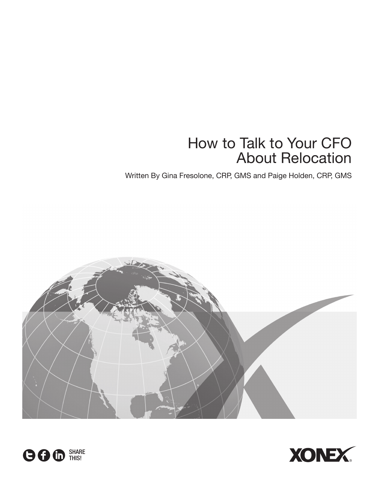# How to Talk to Your CFO About Relocation

Written By Gina Fresolone, CRP, GMS and Paige Holden, CRP, GMS





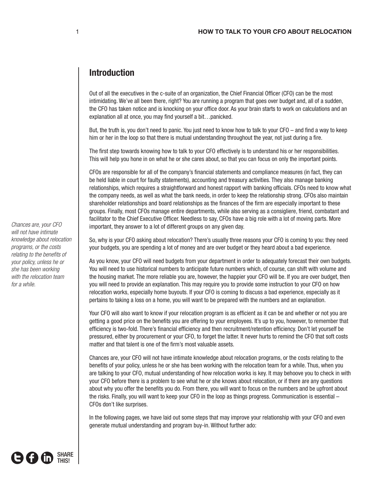# **Introduction**

Out of all the executives in the c-suite of an organization, the Chief Financial Officer (CFO) can be the most intimidating. We've all been there, right? You are running a program that goes over budget and, all of a sudden, the CFO has taken notice and is knocking on your office door. As your brain starts to work on calculations and an explanation all at once, you may find yourself a bit…panicked.

But, the truth is, you don't need to panic. You just need to know how to talk to your CFO – and find a way to keep him or her in the loop so that there is mutual understanding throughout the year, not just during a fire.

The first step towards knowing how to talk to your CFO effectively is to understand his or her responsibilities. This will help you hone in on what he or she cares about, so that you can focus on only the important points.

CFOs are responsible for all of the company's financial statements and compliance measures (in fact, they can be held liable in court for faulty statements), accounting and treasury activities. They also manage banking relationships, which requires a straightforward and honest rapport with banking officials. CFOs need to know what the company needs, as well as what the bank needs, in order to keep the relationship strong. CFOs also maintain shareholder relationships and board relationships as the finances of the firm are especially important to these groups. Finally, most CFOs manage entire departments, while also serving as a consigliere, friend, combatant and facilitator to the Chief Executive Officer. Needless to say, CFOs have a big role with a lot of moving parts. More important, they answer to a lot of different groups on any given day.

So, why is your CFO asking about relocation? There's usually three reasons your CFO is coming to you: they need your budgets, you are spending a lot of money and are over budget or they heard about a bad experience.

As you know, your CFO will need budgets from your department in order to adequately forecast their own budgets. You will need to use historical numbers to anticipate future numbers which, of course, can shift with volume and the housing market. The more reliable you are, however, the happier your CFO will be. If you are over budget, then you will need to provide an explanation. This may require you to provide some instruction to your CFO on how relocation works, especially home buyouts. If your CFO is coming to discuss a bad experience, especially as it pertains to taking a loss on a home, you will want to be prepared with the numbers and an explanation.

Your CFO will also want to know if your relocation program is as efficient as it can be and whether or not you are getting a good price on the benefits you are offering to your employees. It's up to you, however, to remember that efficiency is two-fold. There's financial efficiency and then recruitment/retention efficiency. Don't let yourself be pressured, either by procurement or your CFO, to forget the latter. It never hurts to remind the CFO that soft costs matter and that talent is one of the firm's most valuable assets.

Chances are, your CFO will not have intimate knowledge about relocation programs, or the costs relating to the benefits of your policy, unless he or she has been working with the relocation team for a while. Thus, when you are talking to your CFO, mutual understanding of how relocation works is key. It may behoove you to check in with your CFO before there is a problem to see what he or she knows about relocation, or if there are any questions about why you offer the benefits you do. From there, you will want to focus on the numbers and be upfront about the risks. Finally, you will want to keep your CFO in the loop as things progress. Communication is essential – CFOs don't like surprises.

In the following pages, we have laid out some steps that may improve your relationship with your CFO and even generate mutual understanding and program buy-in. Without further ado:

*Chances are, your CFO will not have intimate knowledge about relocation programs, or the costs relating to the benefits of your policy, unless he or she has been working with the relocation team for a while.*

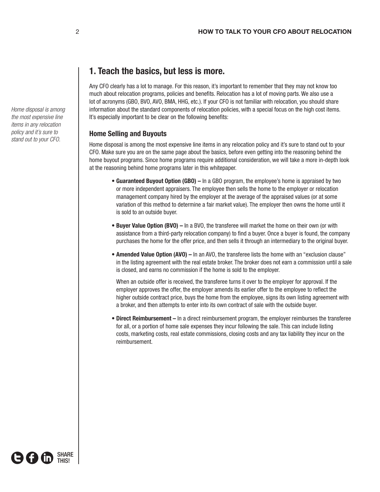## **1. Teach the basics, but less is more.**

Any CFO clearly has a lot to manage. For this reason, it's important to remember that they may not know too much about relocation programs, policies and benefits. Relocation has a lot of moving parts. We also use a lot of acronyms (GBO, BVO, AVO, BMA, HHG, etc.). If your CFO is not familiar with relocation, you should share information about the standard components of relocation policies, with a special focus on the high cost items. It's especially important to be clear on the following benefits:

#### **Home Selling and Buyouts**

Home disposal is among the most expensive line items in any relocation policy and it's sure to stand out to your CFO. Make sure you are on the same page about the basics, before even getting into the reasoning behind the home buyout programs. Since home programs require additional consideration, we will take a more in-depth look at the reasoning behind home programs later in this whitepaper.

- **Guaranteed Buyout Option (GBO) –** In a GBO program, the employee's home is appraised by two or more independent appraisers. The employee then sells the home to the employer or relocation management company hired by the employer at the average of the appraised values (or at some variation of this method to determine a fair market value). The employer then owns the home until it is sold to an outside buyer.
- **Buyer Value Option (BVO) –** In a BVO, the transferee will market the home on their own (or with assistance from a third-party relocation company) to find a buyer. Once a buyer is found, the company purchases the home for the offer price, and then sells it through an intermediary to the original buyer.
- **Amended Value Option (AVO) –** In an AVO, the transferee lists the home with an "exclusion clause" in the listing agreement with the real estate broker. The broker does not earn a commission until a sale is closed, and earns no commission if the home is sold to the employer.

When an outside offer is received, the transferee turns it over to the employer for approval. If the employer approves the offer, the employer amends its earlier offer to the employee to reflect the higher outside contract price, buys the home from the employee, signs its own listing agreement with a broker, and then attempts to enter into its own contract of sale with the outside buyer.

• **Direct Reimbursement –** In a direct reimbursement program, the employer reimburses the transferee for all, or a portion of home sale expenses they incur following the sale. This can include listing costs, marketing costs, real estate commissions, closing costs and any tax liability they incur on the reimbursement.

*Home disposal is among the most expensive line items in any relocation policy and it's sure to stand out to your CFO.*

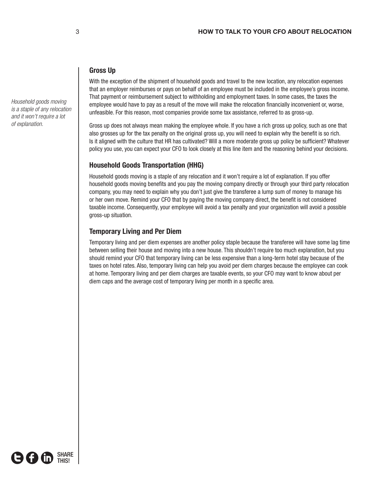## **Gross Up**

With the exception of the shipment of household goods and travel to the new location, any relocation expenses that an employer reimburses or pays on behalf of an employee must be included in the employee's gross income. That payment or reimbursement subject to withholding and employment taxes. In some cases, the taxes the employee would have to pay as a result of the move will make the relocation financially inconvenient or, worse, unfeasible. For this reason, most companies provide some tax assistance, referred to as gross-up.

Gross up does not always mean making the employee whole. If you have a rich gross up policy, such as one that also grosses up for the tax penalty on the original gross up, you will need to explain why the benefit is so rich. Is it aligned with the culture that HR has cultivated? Will a more moderate gross up policy be sufficient? Whatever policy you use, you can expect your CFO to look closely at this line item and the reasoning behind your decisions.

## **Household Goods Transportation (HHG)**

Household goods moving is a staple of any relocation and it won't require a lot of explanation. If you offer household goods moving benefits and you pay the moving company directly or through your third party relocation company, you may need to explain why you don't just give the transferee a lump sum of money to manage his or her own move. Remind your CFO that by paying the moving company direct, the benefit is not considered taxable income. Consequently, your employee will avoid a tax penalty and your organization will avoid a possible gross-up situation.

## **Temporary Living and Per Diem**

Temporary living and per diem expenses are another policy staple because the transferee will have some lag time between selling their house and moving into a new house. This shouldn't require too much explanation, but you should remind your CFO that temporary living can be less expensive than a long-term hotel stay because of the taxes on hotel rates. Also, temporary living can help you avoid per diem charges because the employee can cook at home. Temporary living and per diem charges are taxable events, so your CFO may want to know about per diem caps and the average cost of temporary living per month in a specific area.

*Household goods moving is a staple of any relocation and it won't require a lot of explanation.*

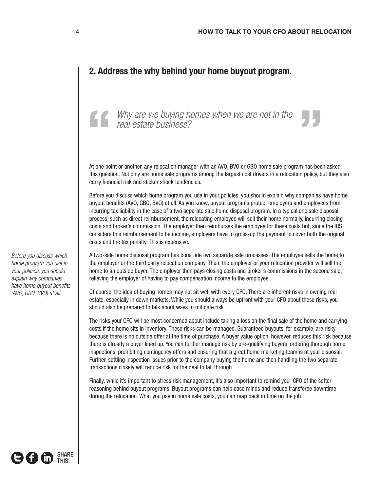## **2. Address the why behind your home buyout program.**

*Why are we buying homes when we are not in the real estate business?*  Why are we buying homes when we are not in the real estate business?

At one point or another, any relocation manager with an AVO, BVO or GBO home sale program has been asked this question. Not only are home sale programs among the largest cost drivers in a relocation policy, but they also carry financial risk and sticker shock tendencies.

Before you discuss which home program you use in your policies, you should explain why companies have home buyout benefits (AVO, GBO, BVO) at all. As you know, buyout programs protect employers and employees from incurring tax liability in the case of a two separate sale home disposal program. In a typical one sale disposal process, such as direct reimbursement, the relocating employee will sell their home normally, incurring closing costs and broker's commission. The employer then reimburses the employee for these costs but, since the IRS considers this reimbursement to be income, employers have to gross-up the payment to cover both the original costs and the tax penalty. This is expensive.

A two-sale home disposal program has bona fide two separate sale processes. The employee sells the home to the employer or the third party relocation company. Then, the employer or your relocation provider will sell the home to an outside buyer. The employer then pays closing costs and broker's commissions in the second sale, relieving the employer of having to pay compensation income to the employee.

Of course, the idea of buying homes may not sit well with every CFO. There are inherent risks in owning real estate, especially in down markets. While you should always be upfront with your CFO about these risks, you should also be prepared to talk about ways to mitigate risk.

The risks your CFO will be most concerned about include taking a loss on the final sale of the home and carrying costs if the home sits in inventory. These risks can be managed. Guaranteed buyouts, for example, are risky because there is no outside offer at the time of purchase. A buyer value option, however, reduces this risk because there is already a buyer lined up. You can further manage risk by pre-qualifying buyers, ordering thorough home inspections, prohibiting contingency offers and ensuring that a great home marketing team is at your disposal. Further, settling inspection issues prior to the company buying the home and then handling the two separate transactions closely will reduce risk for the deal to fall through.

Finally, while it's important to stress risk management, it's also important to remind your CFO of the softer reasoning behind buyout programs. Buyout programs can help ease minds and reduce transferee downtime during the relocation. What you pay in home sale costs, you can reap back in time on the job.

*Before you discuss which home program you use in your policies, you should explain why companies have home buyout benefits (AVO, GBO, BVO) at all.*

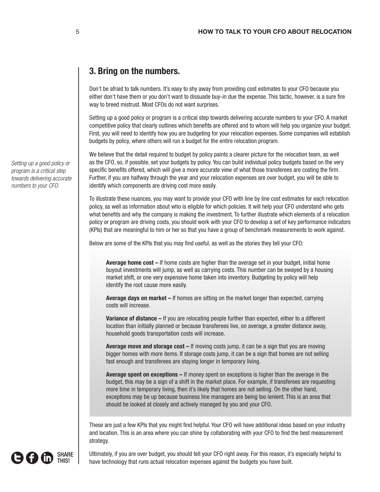# **3. Bring on the numbers.**

Don't be afraid to talk numbers. It's easy to shy away from providing cost estimates to your CFO because you either don't have them or you don't want to dissuade buy-in due the expense. This tactic, however, is a sure fire way to breed mistrust. Most CFOs do not want surprises.

Setting up a good policy or program is a critical step towards delivering accurate numbers to your CFO. A market competitive policy that clearly outlines which benefits are offered and to whom will help you organize your budget. First, you will need to identify how you are budgeting for your relocation expenses. Some companies will establish budgets by policy, where others will run a budget for the entire relocation program.

We believe that the detail required to budget by policy paints a clearer picture for the relocation team, as well as the CFO, so, if possible, set your budgets by policy. You can build individual policy budgets based on the very specific benefits offered, which will give a more accurate view of what those transferees are costing the firm. Further, if you are halfway through the year and your relocation expenses are over budget, you will be able to identify which components are driving cost more easily.

To illustrate these nuances, you may want to provide your CFO with line by line cost estimates for each relocation policy, as well as information about who is eligible for which policies. It will help your CFO understand who gets what benefits and why the company is making the investment. To further illustrate which elements of a relocation policy or program are driving costs, you should work with your CFO to develop a set of key performance indicators (KPIs) that are meaningful to him or her so that you have a group of benchmark measurements to work against.

Below are some of the KPIs that you may find useful, as well as the stories they tell your CFO:

**Average home cost –** If home costs are higher than the average set in your budget, initial home buyout investments will jump, as well as carrying costs. This number can be swayed by a housing market shift, or one very expensive home taken into inventory. Budgeting by policy will help identify the root cause more easily.

**Average days on market –** If homes are sitting on the market longer than expected, carrying costs will increase.

**Variance of distance –** If you are relocating people further than expected, either to a different location than initially planned or because transferees live, on average, a greater distance away, household goods transportation costs will increase.

**Average move and storage cost –** If moving costs jump, it can be a sign that you are moving bigger homes with more items. If storage costs jump, it can be a sign that homes are not selling fast enough and transferees are staying longer in temporary living.

**Average spent on exceptions –** If money spent on exceptions is higher than the average in the budget, this may be a sign of a shift in the market place. For example, if transferees are requesting more time in temporary living, then it's likely that homes are not selling. On the other hand, exceptions may be up because business line managers are being too lenient. This is an area that should be looked at closely and actively managed by you and your CFO.

These are just a few KPIs that you might find helpful. Your CFO will have additional ideas based on your industry and location. This is an area where you can shine by collaborating with your CFO to find the best measurement strategy.

SHARE (3 F (in) THIS!

Ultimately, if you are over budget, you should tell your CFO right away. For this reason, it's especially helpful to have technology that runs actual relocation expenses against the budgets you have built.

*Setting up a good policy or program is a critical step towards delivering accurate numbers to your CFO.*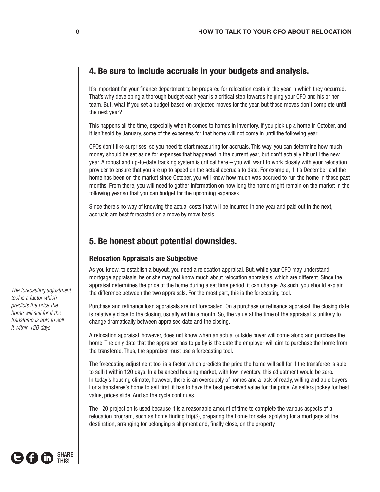## **4. Be sure to include accruals in your budgets and analysis.**

It's important for your finance department to be prepared for relocation costs in the year in which they occurred. That's why developing a thorough budget each year is a critical step towards helping your CFO and his or her team. But, what if you set a budget based on projected moves for the year, but those moves don't complete until the next year?

This happens all the time, especially when it comes to homes in inventory. If you pick up a home in October, and it isn't sold by January, some of the expenses for that home will not come in until the following year.

CFOs don't like surprises, so you need to start measuring for accruals. This way, you can determine how much money should be set aside for expenses that happened in the current year, but don't actually hit until the new year. A robust and up-to-date tracking system is critical here – you will want to work closely with your relocation provider to ensure that you are up to speed on the actual accruals to date. For example, if it's December and the home has been on the market since October, you will know how much was accrued to run the home in those past months. From there, you will need to gather information on how long the home might remain on the market in the following year so that you can budget for the upcoming expenses.

Since there's no way of knowing the actual costs that will be incurred in one year and paid out in the next, accruals are best forecasted on a move by move basis.

## **5. Be honest about potential downsides.**

## **Relocation Appraisals are Subjective**

As you know, to establish a buyout, you need a relocation appraisal. But, while your CFO may understand mortgage appraisals, he or she may not know much about relocation appraisals, which are different. Since the appraisal determines the price of the home during a set time period, it can change. As such, you should explain the difference between the two appraisals. For the most part, this is the forecasting tool.

Purchase and refinance loan appraisals are not forecasted. On a purchase or refinance appraisal, the closing date is relatively close to the closing, usually within a month. So, the value at the time of the appraisal is unlikely to change dramatically between appraised date and the closing.

A relocation appraisal, however, does not know when an actual outside buyer will come along and purchase the home. The only date that the appraiser has to go by is the date the employer will aim to purchase the home from the transferee. Thus, the appraiser must use a forecasting tool.

The forecasting adjustment tool is a factor which predicts the price the home will sell for if the transferee is able to sell it within 120 days. In a balanced housing market, with low inventory, this adjustment would be zero. In today's housing climate, however, there is an oversupply of homes and a lack of ready, willing and able buyers. For a transferee's home to sell first, it has to have the best perceived value for the price. As sellers jockey for best value, prices slide. And so the cycle continues.

The 120 projection is used because it is a reasonable amount of time to complete the various aspects of a relocation program, such as home finding trip(S), preparing the home for sale, applying for a mortgage at the destination, arranging for belonging s shipment and, finally close, on the property.

*The forecasting adjustment tool is a factor which predicts the price the home will sell for if the transferee is able to sell it within 120 days.*

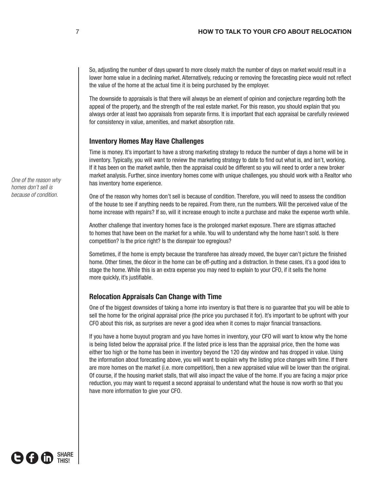So, adjusting the number of days upward to more closely match the number of days on market would result in a lower home value in a declining market. Alternatively, reducing or removing the forecasting piece would not reflect the value of the home at the actual time it is being purchased by the employer.

The downside to appraisals is that there will always be an element of opinion and conjecture regarding both the appeal of the property, and the strength of the real estate market. For this reason, you should explain that you always order at least two appraisals from separate firms. It is important that each appraisal be carefully reviewed for consistency in value, amenities, and market absorption rate.

#### **Inventory Homes May Have Challenges**

Time is money. It's important to have a strong marketing strategy to reduce the number of days a home will be in inventory. Typically, you will want to review the marketing strategy to date to find out what is, and isn't, working. If it has been on the market awhile, then the appraisal could be different so you will need to order a new broker market analysis. Further, since inventory homes come with unique challenges, you should work with a Realtor who has inventory home experience.

One of the reason why homes don't sell is because of condition. Therefore, you will need to assess the condition of the house to see if anything needs to be repaired. From there, run the numbers. Will the perceived value of the home increase with repairs? If so, will it increase enough to incite a purchase and make the expense worth while.

Another challenge that inventory homes face is the prolonged market exposure. There are stigmas attached to homes that have been on the market for a while. You will to understand why the home hasn't sold. Is there competition? Is the price right? Is the disrepair too egregious?

Sometimes, if the home is empty because the transferee has already moved, the buyer can't picture the finished home. Other times, the décor in the home can be off-putting and a distraction. In these cases, it's a good idea to stage the home. While this is an extra expense you may need to explain to your CFO, if it sells the home more quickly, it's justifiable.

## **Relocation Appraisals Can Change with Time**

One of the biggest downsides of taking a home into inventory is that there is no guarantee that you will be able to sell the home for the original appraisal price (the price you purchased it for). It's important to be upfront with your CFO about this risk, as surprises are never a good idea when it comes to major financial transactions.

If you have a home buyout program and you have homes in inventory, your CFO will want to know why the home is being listed below the appraisal price. If the listed price is less than the appraisal price, then the home was either too high or the home has been in inventory beyond the 120 day window and has dropped in value. Using the information about forecasting above, you will want to explain why the listing price changes with time. If there are more homes on the market (i.e. more competition), then a new appraised value will be lower than the original. Of course, if the housing market stalls, that will also impact the value of the home. If you are facing a major price reduction, you may want to request a second appraisal to understand what the house is now worth so that you have more information to give your CFO.

*One of the reason why homes don't sell is because of condition.*

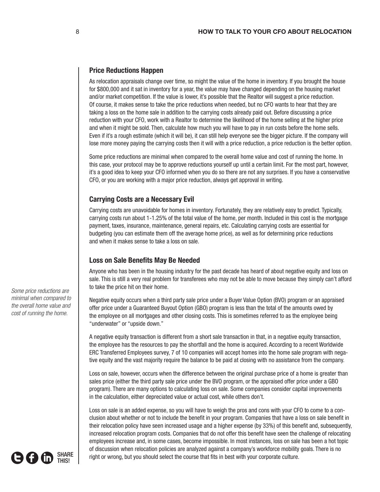#### **Price Reductions Happen**

As relocation appraisals change over time, so might the value of the home in inventory. If you brought the house for \$800,000 and it sat in inventory for a year, the value may have changed depending on the housing market and/or market competition. If the value is lower, it's possible that the Realtor will suggest a price reduction. Of course, it makes sense to take the price reductions when needed, but no CFO wants to hear that they are taking a loss on the home sale in addition to the carrying costs already paid out. Before discussing a price reduction with your CFO, work with a Realtor to determine the likelihood of the home selling at the higher price and when it might be sold. Then, calculate how much you will have to pay in run costs before the home sells. Even if it's a rough estimate (which it will be), it can still help everyone see the bigger picture. If the company will lose more money paying the carrying costs then it will with a price reduction, a price reduction is the better option.

Some price reductions are minimal when compared to the overall home value and cost of running the home. In this case, your protocol may be to approve reductions yourself up until a certain limit. For the most part, however, it's a good idea to keep your CFO informed when you do so there are not any surprises. If you have a conservative CFO, or you are working with a major price reduction, always get approval in writing.

#### **Carrying Costs are a Necessary Evil**

Carrying costs are unavoidable for homes in inventory. Fortunately, they are relatively easy to predict. Typically, carrying costs run about 1-1.25% of the total value of the home, per month. Included in this cost is the mortgage payment, taxes, insurance, maintenance, general repairs, etc. Calculating carrying costs are essential for budgeting (you can estimate them off the average home price), as well as for determining price reductions and when it makes sense to take a loss on sale.

#### **Loss on Sale Benefits May Be Needed**

Anyone who has been in the housing industry for the past decade has heard of about negative equity and loss on sale. This is still a very real problem for transferees who may not be able to move because they simply can't afford to take the price hit on their home.

Negative equity occurs when a third party sale price under a Buyer Value Option (BVO) program or an appraised offer price under a Guaranteed Buyout Option (GBO) program is less than the total of the amounts owed by the employee on all mortgages and other closing costs. This is sometimes referred to as the employee being "underwater" or "upside down."

A negative equity transaction is different from a short sale transaction in that, in a negative equity transaction, the employee has the resources to pay the shortfall and the home is acquired. According to a recent Worldwide ERC Transferred Employees survey, 7 of 10 companies will accept homes into the home sale program with negative equity and the vast majority require the balance to be paid at closing with no assistance from the company.

Loss on sale, however, occurs when the difference between the original purchase price of a home is greater than sales price (either the third party sale price under the BVO program, or the appraised offer price under a GBO program). There are many options to calculating loss on sale. Some companies consider capital improvements in the calculation, either depreciated value or actual cost, while others don't.

Loss on sale is an added expense, so you will have to weigh the pros and cons with your CFO to come to a conclusion about whether or not to include the benefit in your program. Companies that have a loss on sale benefit in their relocation policy have seen increased usage and a higher expense (by 33%) of this benefit and, subsequently, increased relocation program costs. Companies that do not offer this benefit have seen the challenge of relocating employees increase and, in some cases, become impossible. In most instances, loss on sale has been a hot topic of discussion when relocation policies are analyzed against a company's workforce mobility goals. There is no right or wrong, but you should select the course that fits in best with your corporate culture.

*Some price reductions are minimal when compared to the overall home value and cost of running the home.*

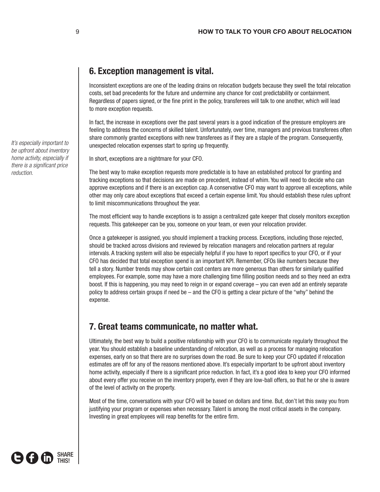## **6. Exception management is vital.**

Inconsistent exceptions are one of the leading drains on relocation budgets because they swell the total relocation costs, set bad precedents for the future and undermine any chance for cost predictability or containment. Regardless of papers signed, or the fine print in the policy, transferees will talk to one another, which will lead to more exception requests.

In fact, the increase in exceptions over the past several years is a good indication of the pressure employers are feeling to address the concerns of skilled talent. Unfortunately, over time, managers and previous transferees often share commonly granted exceptions with new transferees as if they are a staple of the program. Consequently, unexpected relocation expenses start to spring up frequently.

In short, exceptions are a nightmare for your CFO.

The best way to make exception requests more predictable is to have an established protocol for granting and tracking exceptions so that decisions are made on precedent, instead of whim. You will need to decide who can approve exceptions and if there is an exception cap. A conservative CFO may want to approve all exceptions, while other may only care about exceptions that exceed a certain expense limit. You should establish these rules upfront to limit miscommunications throughout the year.

The most efficient way to handle exceptions is to assign a centralized gate keeper that closely monitors exception requests. This gatekeeper can be you, someone on your team, or even your relocation provider.

Once a gatekeeper is assigned, you should implement a tracking process. Exceptions, including those rejected, should be tracked across divisions and reviewed by relocation managers and relocation partners at regular intervals. A tracking system will also be especially helpful if you have to report specifics to your CFO, or if your CFO has decided that total exception spend is an important KPI. Remember, CFOs like numbers because they tell a story. Number trends may show certain cost centers are more generous than others for similarly qualified employees. For example, some may have a more challenging time filling position needs and so they need an extra boost. If this is happening, you may need to reign in or expand coverage – you can even add an entirely separate policy to address certain groups if need be – and the CFO is getting a clear picture of the "why" behind the expense.

## **7. Great teams communicate, no matter what.**

Ultimately, the best way to build a positive relationship with your CFO is to communicate regularly throughout the year. You should establish a baseline understanding of relocation, as well as a process for managing relocation expenses, early on so that there are no surprises down the road. Be sure to keep your CFO updated if relocation estimates are off for any of the reasons mentioned above. It's especially important to be upfront about inventory home activity, especially if there is a significant price reduction. In fact, it's a good idea to keep your CFO informed about every offer you receive on the inventory property, even if they are low-ball offers, so that he or she is aware of the level of activity on the property.

Most of the time, conversations with your CFO will be based on dollars and time. But, don't let this sway you from justifying your program or expenses when necessary. Talent is among the most critical assets in the company. Investing in great employees will reap benefits for the entire firm.

*It's especially important to be upfront about inventory home activity, especially if there is a significant price reduction.*